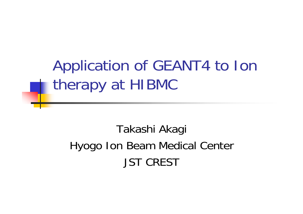Application of GEANT4 to Ion therapy at HIBMC

Takashi Akagi Hyogo Ion Beam Medical Center JST CREST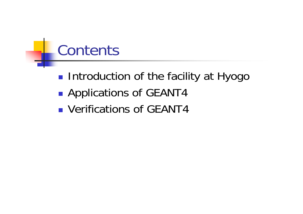#### **Contents**

- **Introduction of the facility at Hyogo**
- **Service Service** ■ Applications of GEANT4
- Verifications of GEANT4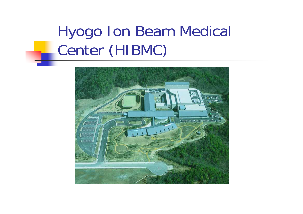# Hyogo Ion Beam Medical Center (HIBMC)

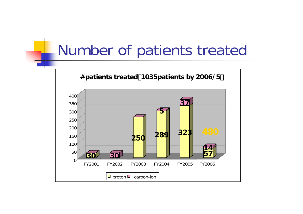#### Number of patients treated

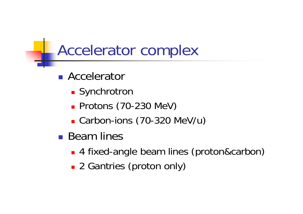#### Accelerator complex

- **Accelerator** 
	- **-** Synchrotron
	- **Protons (70-230 MeV)**
	- Carbon-ions (70-320 MeV/u)
- Beam lines
	- 4 fixed-angle beam lines (proton&carbon)
	- 2 Gantries (proton only)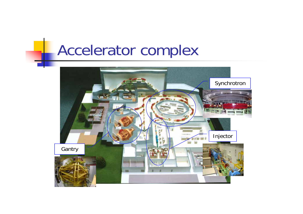#### Accelerator complex

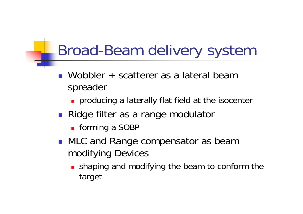#### Broad-Beam delivery system

- Wobbler + scatterer as a lateral beam spreader
	- **Producing a laterally flat field at the isocenter**
- Ridge filter as a range modulator
	- forming a SOBP
- **NLC and Range compensator as beam** modifying Devices
	- **shaping and modifying the beam to conform the** target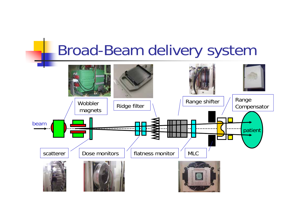#### Broad-Beam delivery system

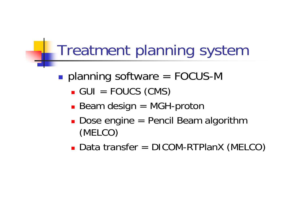#### Treatment planning system

- ■ planning software = FOCUS-M
	- GUI = FOUCS (CMS)
	- Beam design = MGH-proton
	- Dose engine = Pencil Beam algorithm (MELCO)
	- Data transfer = DICOM-RTPlanX (MELCO)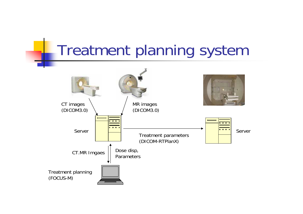#### Treatment planning system

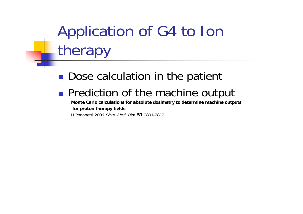# Application of G4 to Ion therapy

#### Dose calculation in the patient **Service Service Prediction of the machine output**

**Monte Carlo calculations for absolute dosimetry to determine machin e outputs for proton therapy fields**

H Paganetti 2006 Phys. Med. Biol. **51** 2801-2812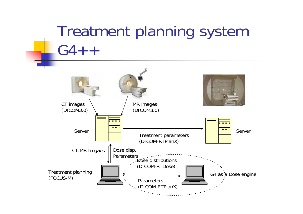#### Treatment planning system  $G4 + +$

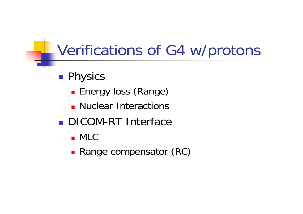#### Verifications of G4 w/protons

- **Physics** 
	- **Energy loss (Range)**
	- **Nuclear Interactions**
- **DICOM-RT Interface** 
	- MLC
	- **Range compensator (RC)**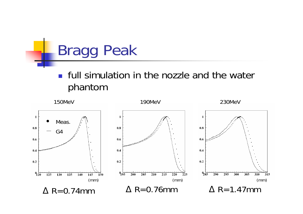

#### **Fig. 1** full simulation in the nozzle and the water phantom

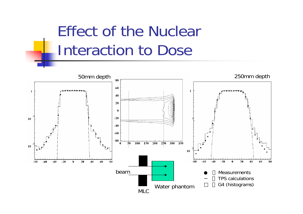## Effect of the Nuclear Interaction to Dose

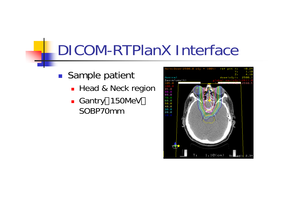#### DICOM-RTPlanX Interface

- **Sample patient** 
	- **-** Head & Neck region
	- Gantry 150MeV SOBP70mm

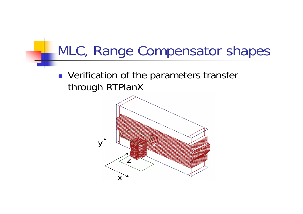#### MLC, Range Compensator shapes

**• Verification of the parameters transfer** through RTPlanX

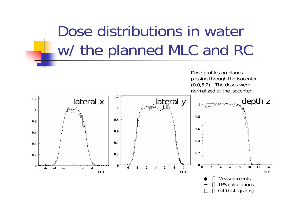# Dose distributions in water w/ the planned MLC and RC



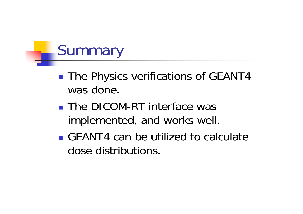# **Summary**

- ■ The Physics verifications of GEANT4 was done.
- **The DICOM-RT interface was** implemented, and works well.
- GEANT4 can be utilized to calculate dose distributions.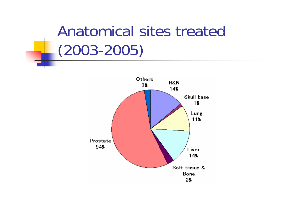#### Anatomical sites treated (2003-2005)